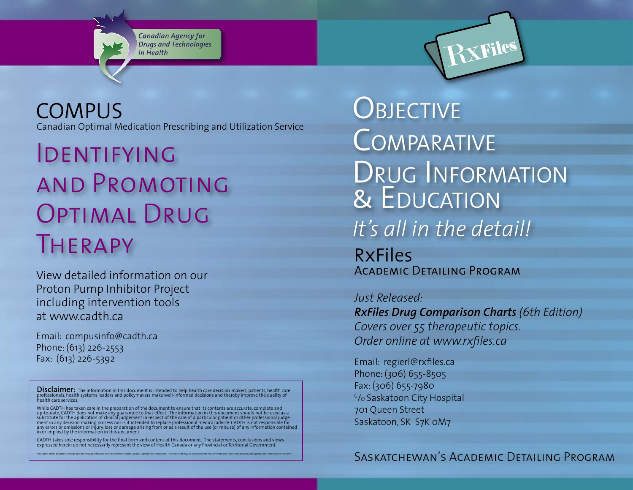Canadian Agency for Drugs and Technologies in Health

**COMPUS** Canadian Optimal Medication Prescribing and Utilization Service

Identifying and Promoting OPTIMAL DRUG Therapy

View detailed information on our Proton Pump Inhibitor Project including intervention tools at www.cadth.ca

Email: compusinfo@cadth.ca Phone: (613) 226-2553 Fax: (613) 226-5392

Disclaimer: The information in this document is intended to help health care decision-makers, patients, health care<br>professionals, health systems leaders and policymakers make well-informed decisions and thereby improve th health care services.

While CADTH has taken care in the preparation of the document to ensure that its contents are accurate, complete and<br>up-to-date, CADTH does not make any guarantee to that effect. The information in this document should not

CADTH takes sole responsibility for the final form and content of this document. The statements, conclusions and views expressed herein do not necessarily represent the view of Health Canada or any Provincial or Territorial Government. Production of this document is made possible through a financial contribution from Health Canada. Copyright © CADTH 2007. This document may be reproduced for non-commercial purposes only and provided appropriate credit is

RxFiles **OBJECTIVE COMPARATIVE** DRUG INFORMATION **& EDUCATION** *It's all in the detail!*

Academic Detailing Program

*Just Released:* 

*RxFiles Drug Comparison Charts (6th Edition) Covers over 55 therapeutic topics. Order online at www.rxfiles.ca*

Email: regierl@rxfiles.ca Phone: (306) 655-8505 Fax: (306) 655-7980 <sup>c</sup>/o Saskatoon City Hospital 701 Queen Street Saskatoon, SK S7K 0M7

Saskatchewan's Academic Detailing Program